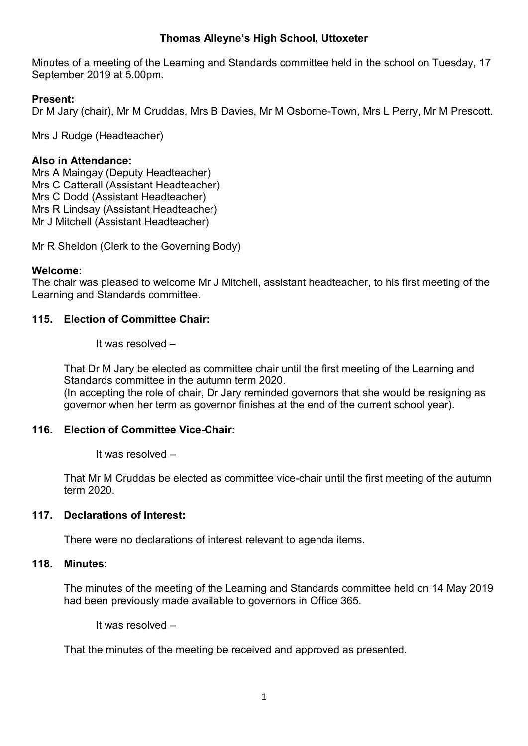### **Thomas Alleyne's High School, Uttoxeter**

Minutes of a meeting of the Learning and Standards committee held in the school on Tuesday, 17 September 2019 at 5.00pm.

### **Present:**

Dr M Jary (chair), Mr M Cruddas, Mrs B Davies, Mr M Osborne-Town, Mrs L Perry, Mr M Prescott.

Mrs J Rudge (Headteacher)

### **Also in Attendance:**

Mrs A Maingay (Deputy Headteacher) Mrs C Catterall (Assistant Headteacher) Mrs C Dodd (Assistant Headteacher) Mrs R Lindsay (Assistant Headteacher) Mr J Mitchell (Assistant Headteacher)

Mr R Sheldon (Clerk to the Governing Body)

### **Welcome:**

The chair was pleased to welcome Mr J Mitchell, assistant headteacher, to his first meeting of the Learning and Standards committee.

### **115. Election of Committee Chair:**

It was resolved –

That Dr M Jary be elected as committee chair until the first meeting of the Learning and Standards committee in the autumn term 2020.

(In accepting the role of chair, Dr Jary reminded governors that she would be resigning as governor when her term as governor finishes at the end of the current school year).

# **116. Election of Committee Vice-Chair:**

It was resolved –

That Mr M Cruddas be elected as committee vice-chair until the first meeting of the autumn term 2020.

#### **117. Declarations of Interest:**

There were no declarations of interest relevant to agenda items.

#### **118. Minutes:**

The minutes of the meeting of the Learning and Standards committee held on 14 May 2019 had been previously made available to governors in Office 365.

It was resolved –

That the minutes of the meeting be received and approved as presented.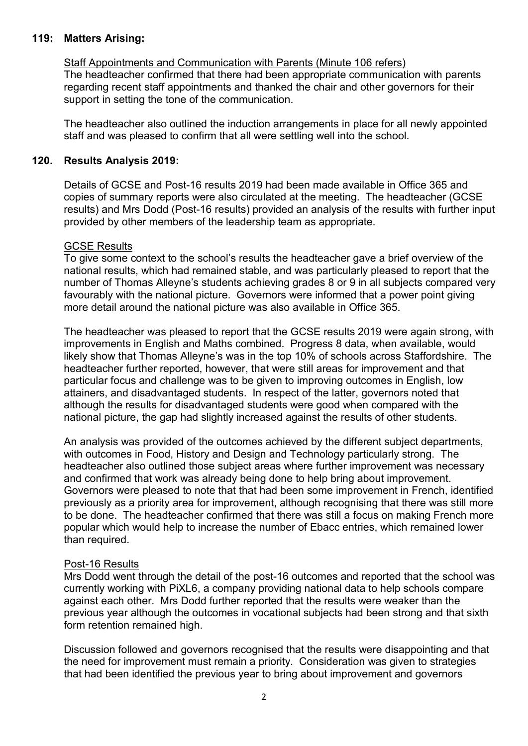#### **119: Matters Arising:**

#### Staff Appointments and Communication with Parents (Minute 106 refers) The headteacher confirmed that there had been appropriate communication with parents regarding recent staff appointments and thanked the chair and other governors for their support in setting the tone of the communication.

The headteacher also outlined the induction arrangements in place for all newly appointed staff and was pleased to confirm that all were settling well into the school.

# **120. Results Analysis 2019:**

Details of GCSE and Post-16 results 2019 had been made available in Office 365 and copies of summary reports were also circulated at the meeting. The headteacher (GCSE results) and Mrs Dodd (Post-16 results) provided an analysis of the results with further input provided by other members of the leadership team as appropriate.

### GCSE Results

To give some context to the school's results the headteacher gave a brief overview of the national results, which had remained stable, and was particularly pleased to report that the number of Thomas Alleyne's students achieving grades 8 or 9 in all subjects compared very favourably with the national picture. Governors were informed that a power point giving more detail around the national picture was also available in Office 365.

The headteacher was pleased to report that the GCSE results 2019 were again strong, with improvements in English and Maths combined. Progress 8 data, when available, would likely show that Thomas Alleyne's was in the top 10% of schools across Staffordshire. The headteacher further reported, however, that were still areas for improvement and that particular focus and challenge was to be given to improving outcomes in English, low attainers, and disadvantaged students. In respect of the latter, governors noted that although the results for disadvantaged students were good when compared with the national picture, the gap had slightly increased against the results of other students.

An analysis was provided of the outcomes achieved by the different subject departments, with outcomes in Food, History and Design and Technology particularly strong. The headteacher also outlined those subject areas where further improvement was necessary and confirmed that work was already being done to help bring about improvement. Governors were pleased to note that that had been some improvement in French, identified previously as a priority area for improvement, although recognising that there was still more to be done. The headteacher confirmed that there was still a focus on making French more popular which would help to increase the number of Ebacc entries, which remained lower than required.

# Post-16 Results

Mrs Dodd went through the detail of the post-16 outcomes and reported that the school was currently working with PiXL6, a company providing national data to help schools compare against each other. Mrs Dodd further reported that the results were weaker than the previous year although the outcomes in vocational subjects had been strong and that sixth form retention remained high.

Discussion followed and governors recognised that the results were disappointing and that the need for improvement must remain a priority. Consideration was given to strategies that had been identified the previous year to bring about improvement and governors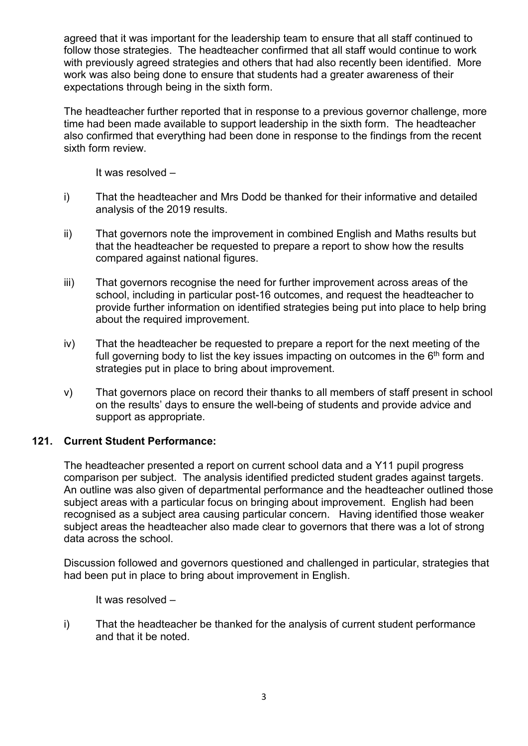agreed that it was important for the leadership team to ensure that all staff continued to follow those strategies. The headteacher confirmed that all staff would continue to work with previously agreed strategies and others that had also recently been identified. More work was also being done to ensure that students had a greater awareness of their expectations through being in the sixth form.

The headteacher further reported that in response to a previous governor challenge, more time had been made available to support leadership in the sixth form. The headteacher also confirmed that everything had been done in response to the findings from the recent sixth form review.

It was resolved –

- i) That the headteacher and Mrs Dodd be thanked for their informative and detailed analysis of the 2019 results.
- ii) That governors note the improvement in combined English and Maths results but that the headteacher be requested to prepare a report to show how the results compared against national figures.
- iii) That governors recognise the need for further improvement across areas of the school, including in particular post-16 outcomes, and request the headteacher to provide further information on identified strategies being put into place to help bring about the required improvement.
- iv) That the headteacher be requested to prepare a report for the next meeting of the full governing body to list the key issues impacting on outcomes in the  $6<sup>th</sup>$  form and strategies put in place to bring about improvement.
- v) That governors place on record their thanks to all members of staff present in school on the results' days to ensure the well-being of students and provide advice and support as appropriate.

#### **121. Current Student Performance:**

The headteacher presented a report on current school data and a Y11 pupil progress comparison per subject. The analysis identified predicted student grades against targets. An outline was also given of departmental performance and the headteacher outlined those subject areas with a particular focus on bringing about improvement. English had been recognised as a subject area causing particular concern. Having identified those weaker subject areas the headteacher also made clear to governors that there was a lot of strong data across the school.

Discussion followed and governors questioned and challenged in particular, strategies that had been put in place to bring about improvement in English.

It was resolved –

i) That the headteacher be thanked for the analysis of current student performance and that it be noted.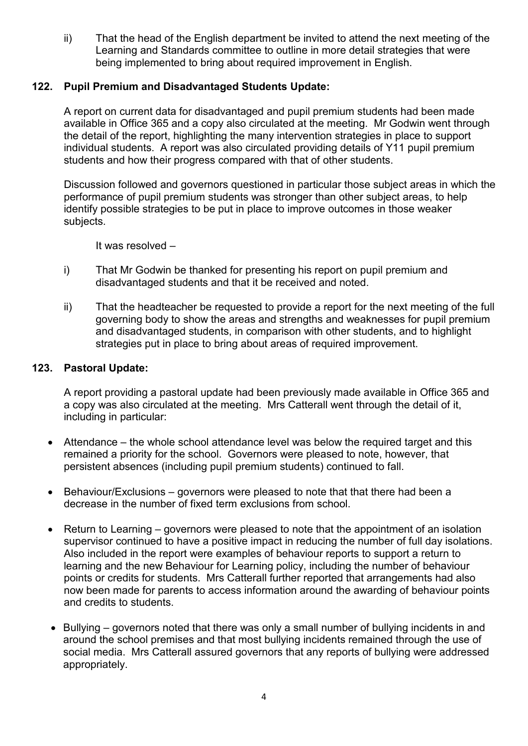ii) That the head of the English department be invited to attend the next meeting of the Learning and Standards committee to outline in more detail strategies that were being implemented to bring about required improvement in English.

### **122. Pupil Premium and Disadvantaged Students Update:**

A report on current data for disadvantaged and pupil premium students had been made available in Office 365 and a copy also circulated at the meeting. Mr Godwin went through the detail of the report, highlighting the many intervention strategies in place to support individual students. A report was also circulated providing details of Y11 pupil premium students and how their progress compared with that of other students.

Discussion followed and governors questioned in particular those subject areas in which the performance of pupil premium students was stronger than other subject areas, to help identify possible strategies to be put in place to improve outcomes in those weaker subjects.

It was resolved –

- i) That Mr Godwin be thanked for presenting his report on pupil premium and disadvantaged students and that it be received and noted.
- ii) That the headteacher be requested to provide a report for the next meeting of the full governing body to show the areas and strengths and weaknesses for pupil premium and disadvantaged students, in comparison with other students, and to highlight strategies put in place to bring about areas of required improvement.

#### **123. Pastoral Update:**

A report providing a pastoral update had been previously made available in Office 365 and a copy was also circulated at the meeting. Mrs Catterall went through the detail of it, including in particular:

- Attendance the whole school attendance level was below the required target and this remained a priority for the school. Governors were pleased to note, however, that persistent absences (including pupil premium students) continued to fall.
- Behaviour/Exclusions governors were pleased to note that that there had been a decrease in the number of fixed term exclusions from school.
- Return to Learning governors were pleased to note that the appointment of an isolation supervisor continued to have a positive impact in reducing the number of full day isolations. Also included in the report were examples of behaviour reports to support a return to learning and the new Behaviour for Learning policy, including the number of behaviour points or credits for students. Mrs Catterall further reported that arrangements had also now been made for parents to access information around the awarding of behaviour points and credits to students.
- Bullying governors noted that there was only a small number of bullying incidents in and around the school premises and that most bullying incidents remained through the use of social media. Mrs Catterall assured governors that any reports of bullying were addressed appropriately.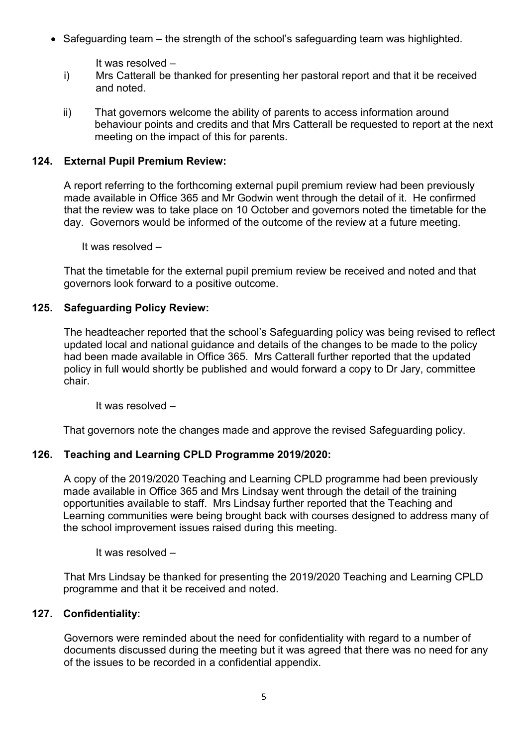• Safeguarding team – the strength of the school's safeguarding team was highlighted.

It was resolved –

- i) Mrs Catterall be thanked for presenting her pastoral report and that it be received and noted.
- ii) That governors welcome the ability of parents to access information around behaviour points and credits and that Mrs Catterall be requested to report at the next meeting on the impact of this for parents.

# **124. External Pupil Premium Review:**

A report referring to the forthcoming external pupil premium review had been previously made available in Office 365 and Mr Godwin went through the detail of it. He confirmed that the review was to take place on 10 October and governors noted the timetable for the day. Governors would be informed of the outcome of the review at a future meeting.

It was resolved –

That the timetable for the external pupil premium review be received and noted and that governors look forward to a positive outcome.

# **125. Safeguarding Policy Review:**

The headteacher reported that the school's Safeguarding policy was being revised to reflect updated local and national guidance and details of the changes to be made to the policy had been made available in Office 365. Mrs Catterall further reported that the updated policy in full would shortly be published and would forward a copy to Dr Jary, committee chair.

It was resolved –

That governors note the changes made and approve the revised Safeguarding policy.

# **126. Teaching and Learning CPLD Programme 2019/2020:**

A copy of the 2019/2020 Teaching and Learning CPLD programme had been previously made available in Office 365 and Mrs Lindsay went through the detail of the training opportunities available to staff. Mrs Lindsay further reported that the Teaching and Learning communities were being brought back with courses designed to address many of the school improvement issues raised during this meeting.

It was resolved –

That Mrs Lindsay be thanked for presenting the 2019/2020 Teaching and Learning CPLD programme and that it be received and noted.

# **127. Confidentiality:**

Governors were reminded about the need for confidentiality with regard to a number of documents discussed during the meeting but it was agreed that there was no need for any of the issues to be recorded in a confidential appendix.